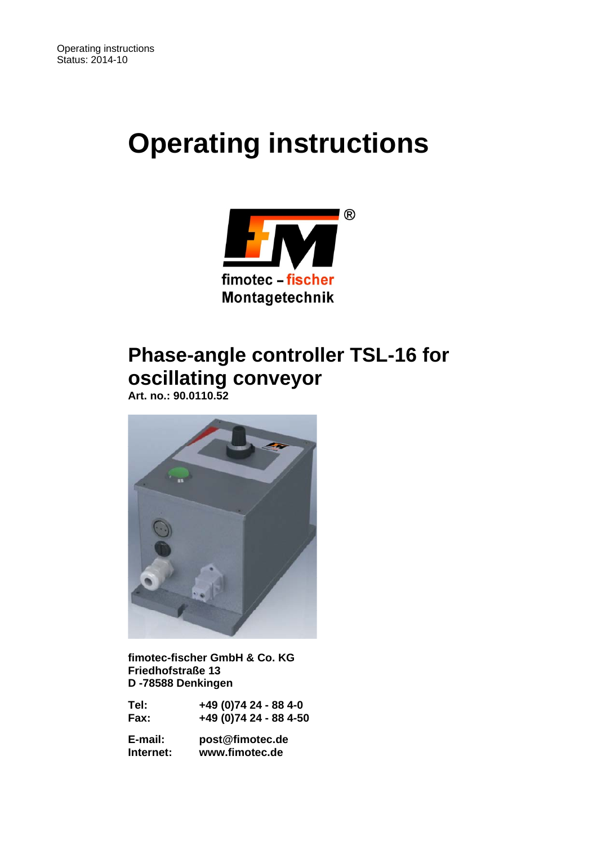# **Operating instructions**



## **Phase-angle controller TSL-16 for oscillating conveyor**

 **Art. no.: 90.0110.52** 



 **fimotec-fischer GmbH & Co. KG Friedhofstraße 13 D -78588 Denkingen** 

| Tel: | +49 (0)74 24 - 88 4-0  |
|------|------------------------|
| Fax: | +49 (0)74 24 - 88 4-50 |

 **E-mail: post@fimotec.de Internet: www.fimotec.de**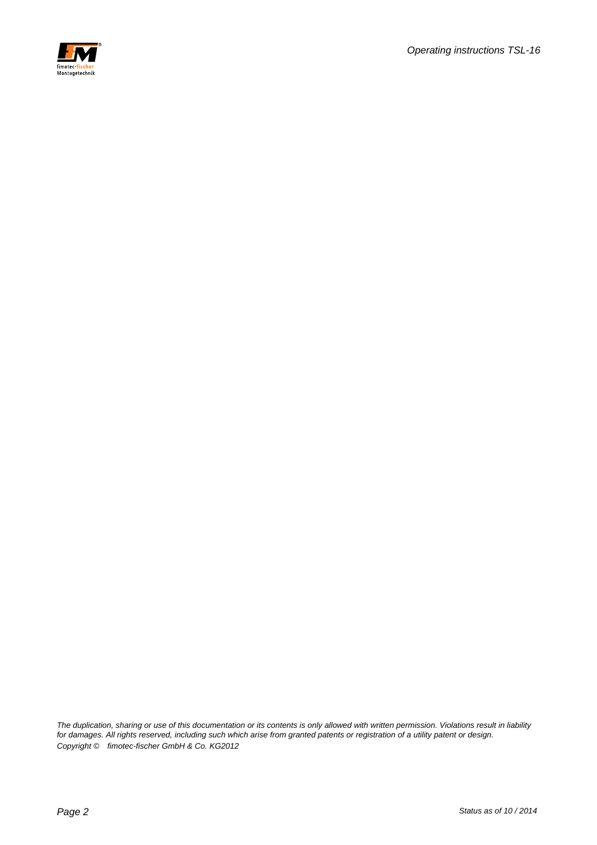

*The duplication, sharing or use of this documentation or its contents is only allowed with written permission. Violations result in liability for damages. All rights reserved, including such which arise from granted patents or registration of a utility patent or design. Copyright © fimotec-fischer GmbH & Co. KG2012*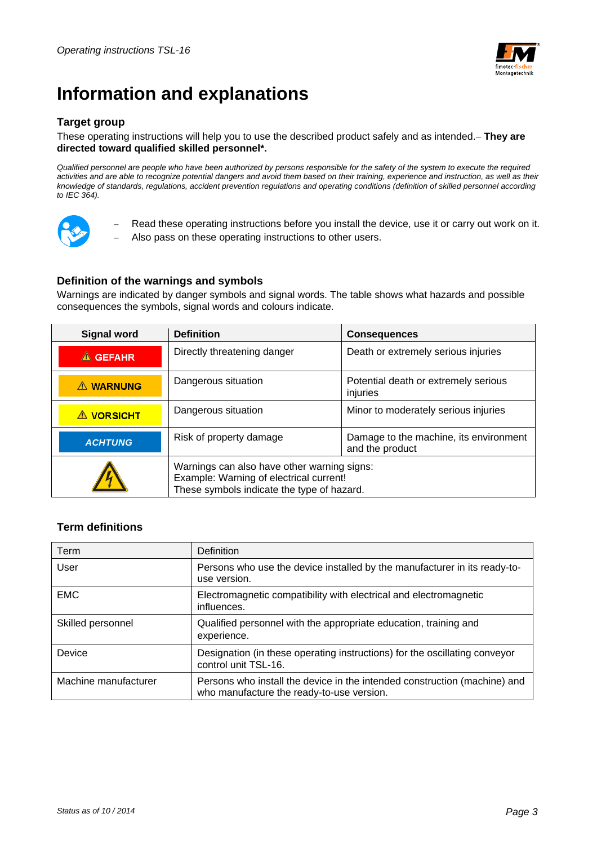

## **Information and explanations**

## **Target group**

#### These operating instructions will help you to use the described product safely and as intended. **They are directed toward qualified skilled personnel\*.**

*Qualified personnel are people who have been authorized by persons responsible for the safety of the system to execute the required*  activities and are able to recognize potential dangers and avoid them based on their training, experience and instruction, as well as their *knowledge of standards, regulations, accident prevention regulations and operating conditions (definition of skilled personnel according to IEC 364).* 



 Read these operating instructions before you install the device, use it or carry out work on it. Also pass on these operating instructions to other users.

#### **Definition of the warnings and symbols**

Warnings are indicated by danger symbols and signal words. The table shows what hazards and possible consequences the symbols, signal words and colours indicate.

| <b>Signal word</b>                                                                                                                   | <b>Definition</b>       | <b>Consequences</b>                                       |  |
|--------------------------------------------------------------------------------------------------------------------------------------|-------------------------|-----------------------------------------------------------|--|
| Directly threatening danger<br>$\triangle$ GEFAHR                                                                                    |                         | Death or extremely serious injuries                       |  |
| A WARNUNG                                                                                                                            | Dangerous situation     | Potential death or extremely serious<br>injuries          |  |
| <b>A VORSICHT</b>                                                                                                                    | Dangerous situation     | Minor to moderately serious injuries                      |  |
| <b>ACHTUNG</b>                                                                                                                       | Risk of property damage | Damage to the machine, its environment<br>and the product |  |
| Warnings can also have other warning signs:<br>Example: Warning of electrical current!<br>These symbols indicate the type of hazard. |                         |                                                           |  |

## **Term definitions**

| Term                 | <b>Definition</b>                                                                                                      |
|----------------------|------------------------------------------------------------------------------------------------------------------------|
| User                 | Persons who use the device installed by the manufacturer in its ready-to-<br>use version.                              |
| <b>EMC</b>           | Electromagnetic compatibility with electrical and electromagnetic<br>influences.                                       |
| Skilled personnel    | Qualified personnel with the appropriate education, training and<br>experience.                                        |
| Device               | Designation (in these operating instructions) for the oscillating conveyor<br>control unit TSL-16.                     |
| Machine manufacturer | Persons who install the device in the intended construction (machine) and<br>who manufacture the ready-to-use version. |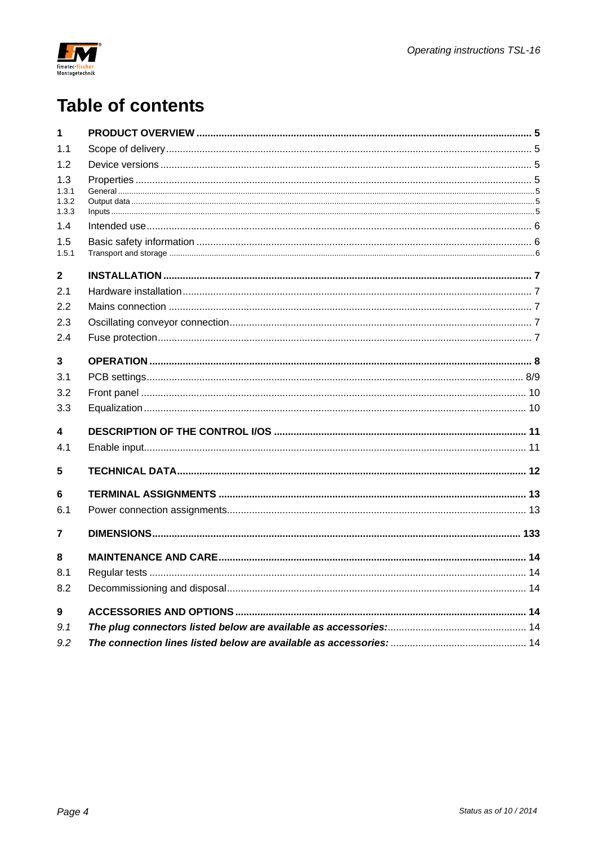

## **Table of contents**

| 1                              |  |
|--------------------------------|--|
| 1.1                            |  |
| 1.2                            |  |
| 1.3<br>1.3.1<br>1.3.2<br>1.3.3 |  |
| 1.4                            |  |
| 1.5<br>1.5.1                   |  |
| $\overline{2}$                 |  |
| 2.1                            |  |
| 2.2                            |  |
| 2.3                            |  |
| 2.4                            |  |
| $\overline{\mathbf{3}}$        |  |
| 3.1                            |  |
| 3.2                            |  |
| 3.3                            |  |
| $\overline{\mathbf{4}}$        |  |
| 4.1                            |  |
| 5                              |  |
| 6                              |  |
| 6.1                            |  |
| $\overline{7}$                 |  |
| 8                              |  |
| 8.1                            |  |
| 8.2                            |  |
| $\boldsymbol{9}$               |  |
| 9.1                            |  |
| 9.2                            |  |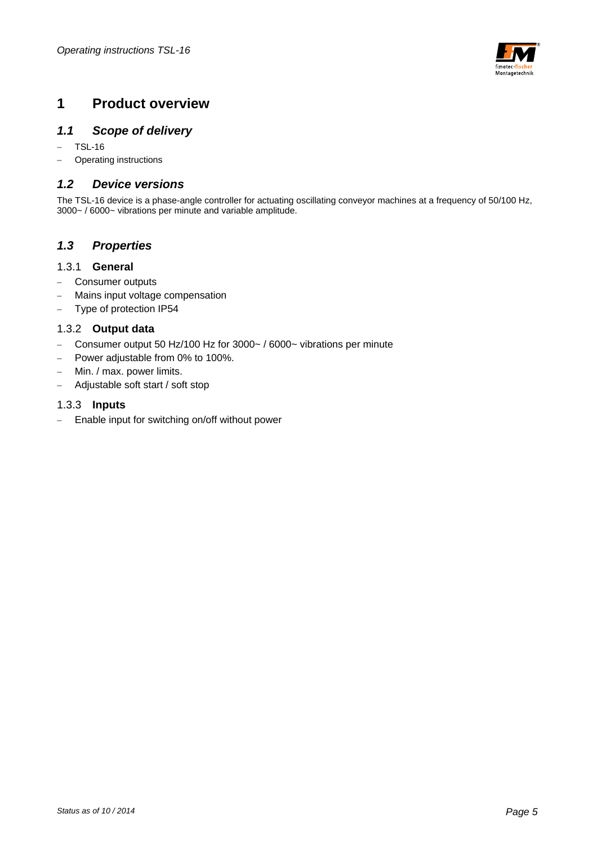

## **1 Product overview**

## *1.1 Scope of delivery*

- $-$  TSL-16
- Operating instructions

### *1.2 Device versions*

The TSL-16 device is a phase-angle controller for actuating oscillating conveyor machines at a frequency of 50/100 Hz, 3000~ / 6000~ vibrations per minute and variable amplitude.

### *1.3 Properties*

#### 1.3.1 **General**

- Consumer outputs
- Mains input voltage compensation
- Type of protection IP54

### 1.3.2 **Output data**

- Consumer output 50 Hz/100 Hz for 3000~ / 6000~ vibrations per minute
- Power adjustable from 0% to 100%.
- Min. / max. power limits.
- Adjustable soft start / soft stop

#### 1.3.3 **Inputs**

- Enable input for switching on/off without power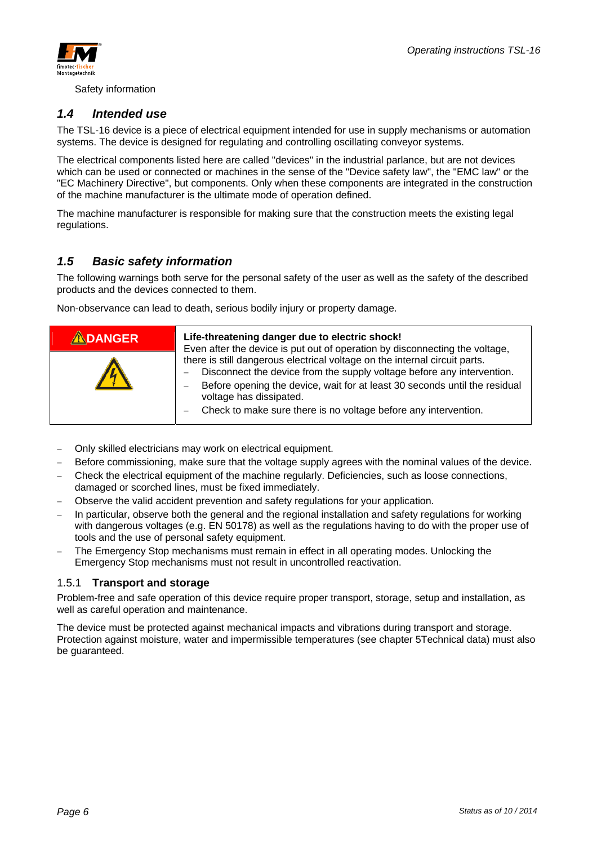



Safety information

## *1.4 Intended use*

The TSL-16 device is a piece of electrical equipment intended for use in supply mechanisms or automation systems. The device is designed for regulating and controlling oscillating conveyor systems.

The electrical components listed here are called "devices" in the industrial parlance, but are not devices which can be used or connected or machines in the sense of the "Device safety law", the "EMC law" or the "EC Machinery Directive", but components. Only when these components are integrated in the construction of the machine manufacturer is the ultimate mode of operation defined.

The machine manufacturer is responsible for making sure that the construction meets the existing legal regulations.

## *1.5 Basic safety information*

The following warnings both serve for the personal safety of the user as well as the safety of the described products and the devices connected to them.

Non-observance can lead to death, serious bodily injury or property damage.

| <b>ADANGER</b> | Life-threatening danger due to electric shock!<br>Even after the device is put out of operation by disconnecting the voltage,                                                                                                                                                                                                    |
|----------------|----------------------------------------------------------------------------------------------------------------------------------------------------------------------------------------------------------------------------------------------------------------------------------------------------------------------------------|
|                | there is still dangerous electrical voltage on the internal circuit parts.<br>Disconnect the device from the supply voltage before any intervention.<br>Before opening the device, wait for at least 30 seconds until the residual<br>voltage has dissipated.<br>Check to make sure there is no voltage before any intervention. |

- Only skilled electricians may work on electrical equipment.
- Before commissioning, make sure that the voltage supply agrees with the nominal values of the device.
- Check the electrical equipment of the machine regularly. Deficiencies, such as loose connections, damaged or scorched lines, must be fixed immediately.
- Observe the valid accident prevention and safety regulations for your application.
- In particular, observe both the general and the regional installation and safety regulations for working with dangerous voltages (e.g. EN 50178) as well as the regulations having to do with the proper use of tools and the use of personal safety equipment.
- The Emergency Stop mechanisms must remain in effect in all operating modes. Unlocking the Emergency Stop mechanisms must not result in uncontrolled reactivation.

### 1.5.1 **Transport and storage**

Problem-free and safe operation of this device require proper transport, storage, setup and installation, as well as careful operation and maintenance.

The device must be protected against mechanical impacts and vibrations during transport and storage. Protection against moisture, water and impermissible temperatures (see chapter 5Technical data) must also be guaranteed.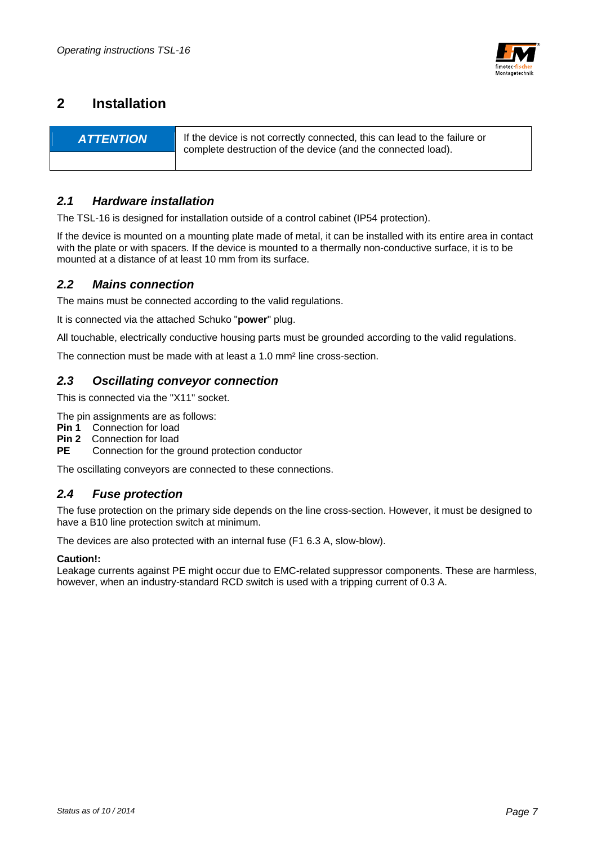

## **2 Installation**

| <b>ATTENTION</b> | If the device is not correctly connected, this can lead to the failure or<br>complete destruction of the device (and the connected load). |
|------------------|-------------------------------------------------------------------------------------------------------------------------------------------|
|                  |                                                                                                                                           |

## *2.1 Hardware installation*

The TSL-16 is designed for installation outside of a control cabinet (IP54 protection).

If the device is mounted on a mounting plate made of metal, it can be installed with its entire area in contact with the plate or with spacers. If the device is mounted to a thermally non-conductive surface, it is to be mounted at a distance of at least 10 mm from its surface.

### *2.2 Mains connection*

The mains must be connected according to the valid regulations.

It is connected via the attached Schuko "**power**" plug.

All touchable, electrically conductive housing parts must be grounded according to the valid regulations.

The connection must be made with at least a 1.0 mm² line cross-section.

### *2.3 Oscillating conveyor connection*

This is connected via the "X11" socket.

The pin assignments are as follows:

**Pin 1** Connection for load

**Pin 2** Connection for load

**PE** Connection for the ground protection conductor

The oscillating conveyors are connected to these connections.

### *2.4 Fuse protection*

The fuse protection on the primary side depends on the line cross-section. However, it must be designed to have a B10 line protection switch at minimum.

The devices are also protected with an internal fuse (F1 6.3 A, slow-blow).

#### **Caution!:**

Leakage currents against PE might occur due to EMC-related suppressor components. These are harmless, however, when an industry-standard RCD switch is used with a tripping current of 0.3 A.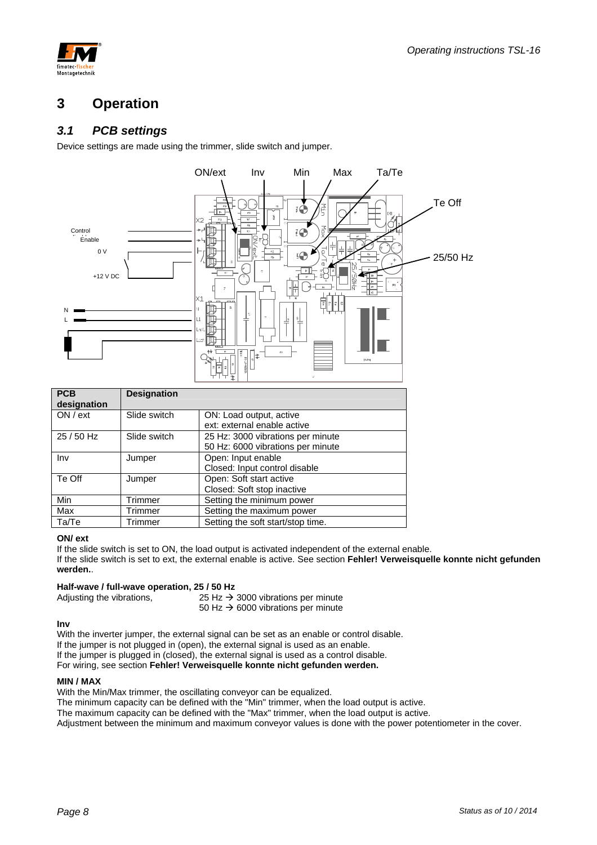



## **3 Operation**

## *3.1 PCB settings*

Device settings are made using the trimmer, slide switch and jumper.



| <b>PCB</b><br>designation | <b>Designation</b> |                                                        |
|---------------------------|--------------------|--------------------------------------------------------|
| ON / ext                  | Slide switch       | ON: Load output, active<br>ext: external enable active |
| 25 / 50 Hz                | Slide switch       | 25 Hz: 3000 vibrations per minute                      |
|                           |                    | 50 Hz: 6000 vibrations per minute                      |
| Inv                       | Jumper             | Open: Input enable                                     |
|                           |                    | Closed: Input control disable                          |
| Te Off                    | Jumper             | Open: Soft start active                                |
|                           |                    | Closed: Soft stop inactive                             |
| Min                       | Trimmer            | Setting the minimum power                              |
| Max                       | Trimmer            | Setting the maximum power                              |
| Ta/Te                     | Trimmer            | Setting the soft start/stop time.                      |

#### **ON/ ext**

If the slide switch is set to ON, the load output is activated independent of the external enable.

If the slide switch is set to ext, the external enable is active. See section **Fehler! Verweisquelle konnte nicht gefunden werden.**.

## **Half-wave / full-wave operation, 25 / 50 Hz**<br>Adjusting the vibrations, 25 Hz →

25 Hz  $\rightarrow$  3000 vibrations per minute 50 Hz  $\rightarrow$  6000 vibrations per minute

#### **Inv**

With the inverter jumper, the external signal can be set as an enable or control disable. If the jumper is not plugged in (open), the external signal is used as an enable. If the jumper is plugged in (closed), the external signal is used as a control disable. For wiring, see section **Fehler! Verweisquelle konnte nicht gefunden werden.**

#### **MIN / MAX**

With the Min/Max trimmer, the oscillating conveyor can be equalized.

The minimum capacity can be defined with the "Min" trimmer, when the load output is active.

The maximum capacity can be defined with the "Max" trimmer, when the load output is active.

Adjustment between the minimum and maximum conveyor values is done with the power potentiometer in the cover.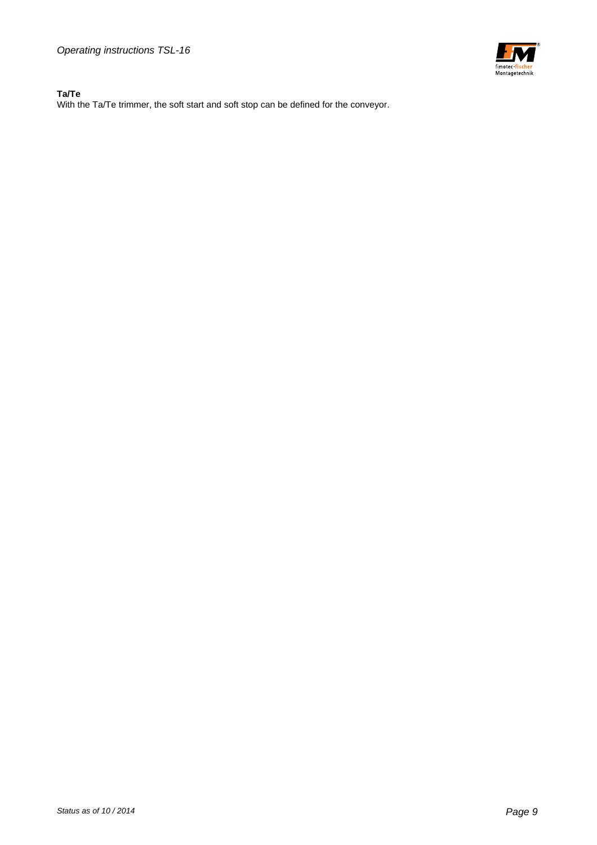*Operating instructions TSL-16* 

#### **Ta/Te**

With the Ta/Te trimmer, the soft start and soft stop can be defined for the conveyor.

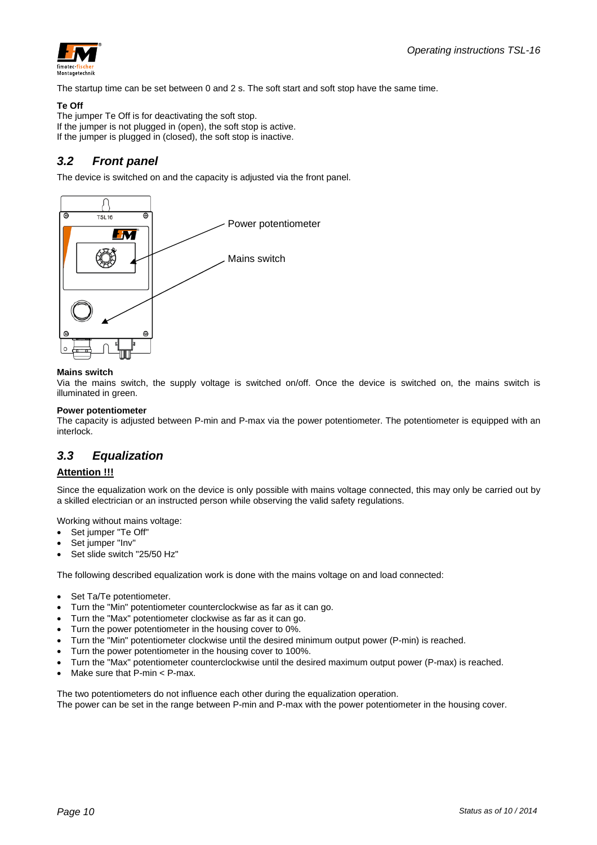

The startup time can be set between 0 and 2 s. The soft start and soft stop have the same time.

#### **Te Off**

The jumper Te Off is for deactivating the soft stop. If the jumper is not plugged in (open), the soft stop is active. If the jumper is plugged in (closed), the soft stop is inactive.

## *3.2 Front panel*

The device is switched on and the capacity is adjusted via the front panel.



#### **Mains switch**

Via the mains switch, the supply voltage is switched on/off. Once the device is switched on, the mains switch is illuminated in green.

#### **Power potentiometer**

The capacity is adjusted between P-min and P-max via the power potentiometer. The potentiometer is equipped with an interlock.

## *3.3 Equalization*

#### **Attention !!!**

Since the equalization work on the device is only possible with mains voltage connected, this may only be carried out by a skilled electrician or an instructed person while observing the valid safety regulations.

Working without mains voltage:

- Set jumper "Te Off"
- Set jumper "Inv"
- Set slide switch "25/50 Hz"

The following described equalization work is done with the mains voltage on and load connected:

- Set Ta/Te potentiometer.
- Turn the "Min" potentiometer counterclockwise as far as it can go.
- Turn the "Max" potentiometer clockwise as far as it can go.
- Turn the power potentiometer in the housing cover to 0%.
- Turn the "Min" potentiometer clockwise until the desired minimum output power (P-min) is reached.
- Turn the power potentiometer in the housing cover to 100%.
- Turn the "Max" potentiometer counterclockwise until the desired maximum output power (P-max) is reached.
- Make sure that P-min < P-max.

The two potentiometers do not influence each other during the equalization operation. The power can be set in the range between P-min and P-max with the power potentiometer in the housing cover.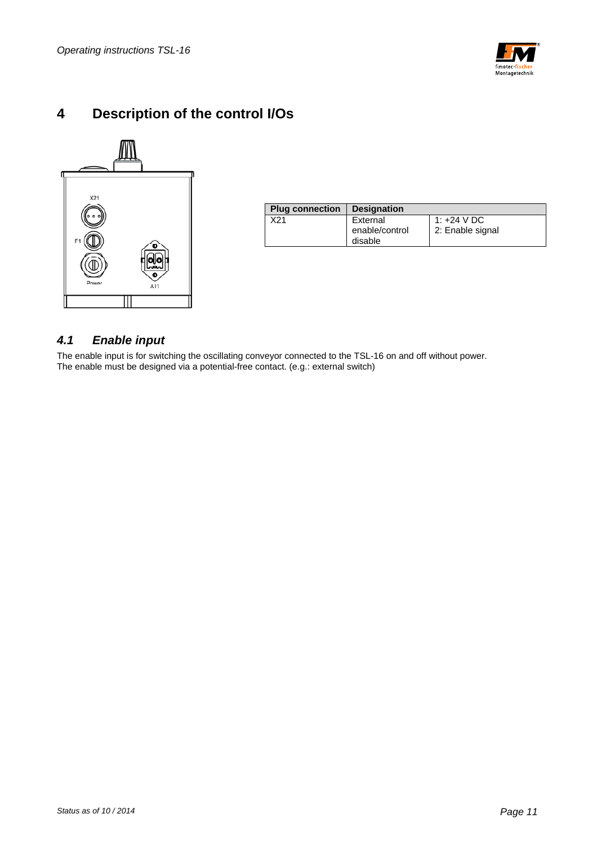

## **4 Description of the control I/Os**



| <b>Plug connection</b> | <b>Designation</b>                    |                                 |
|------------------------|---------------------------------------|---------------------------------|
| X21                    | External<br>enable/control<br>disable | 1: +24 V DC<br>2: Enable signal |

## *4.1 Enable input*

The enable input is for switching the oscillating conveyor connected to the TSL-16 on and off without power. The enable must be designed via a potential-free contact. (e.g.: external switch)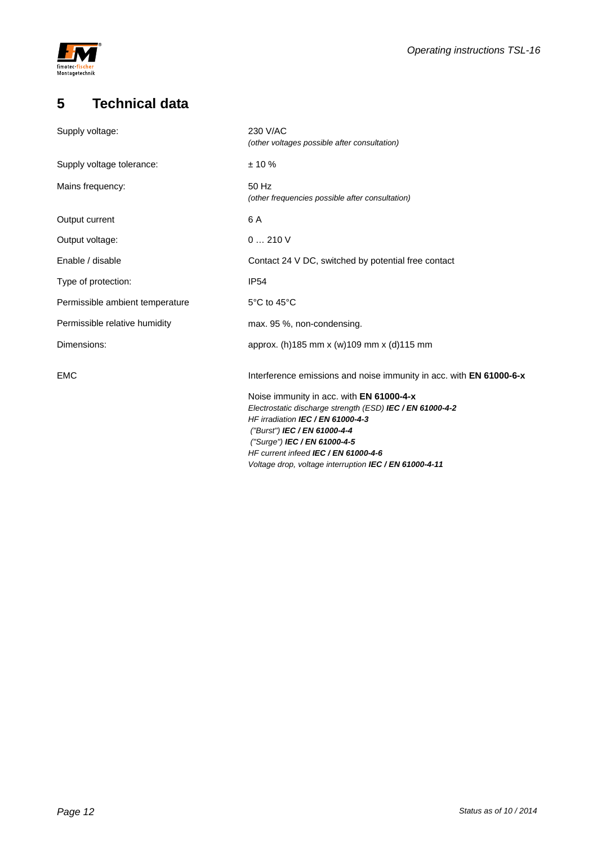

## **5 Technical data**

| Supply voltage:                 | 230 V/AC                                                                                              |
|---------------------------------|-------------------------------------------------------------------------------------------------------|
|                                 | (other voltages possible after consultation)                                                          |
| Supply voltage tolerance:       | $± 10 \%$                                                                                             |
| Mains frequency:                | 50 Hz<br>(other frequencies possible after consultation)                                              |
| Output current                  | 6 A                                                                                                   |
| Output voltage:                 | 0210V                                                                                                 |
| Enable / disable                | Contact 24 V DC, switched by potential free contact                                                   |
| Type of protection:             | <b>IP54</b>                                                                                           |
| Permissible ambient temperature | 5°C to 45°C                                                                                           |
| Permissible relative humidity   | max. 95 %, non-condensing.                                                                            |
| Dimensions:                     | approx. (h)185 mm x (w)109 mm x (d)115 mm                                                             |
| <b>EMC</b>                      | Interference emissions and noise immunity in acc. with EN 61000-6-x                                   |
|                                 | Noise immunity in acc. with EN 61000-4-x<br>Electrostatic discharge strength (ESD) IEC / EN 61000-4-2 |
|                                 | HF irradiation IEC / EN 61000-4-3                                                                     |
|                                 | ("Burst") IEC / EN 61000-4-4<br>("Surge") IEC / EN 61000-4-5                                          |
|                                 | HF current infeed IEC / EN 61000-4-6                                                                  |
|                                 | Voltage drop, voltage interruption IEC / EN 61000-4-11                                                |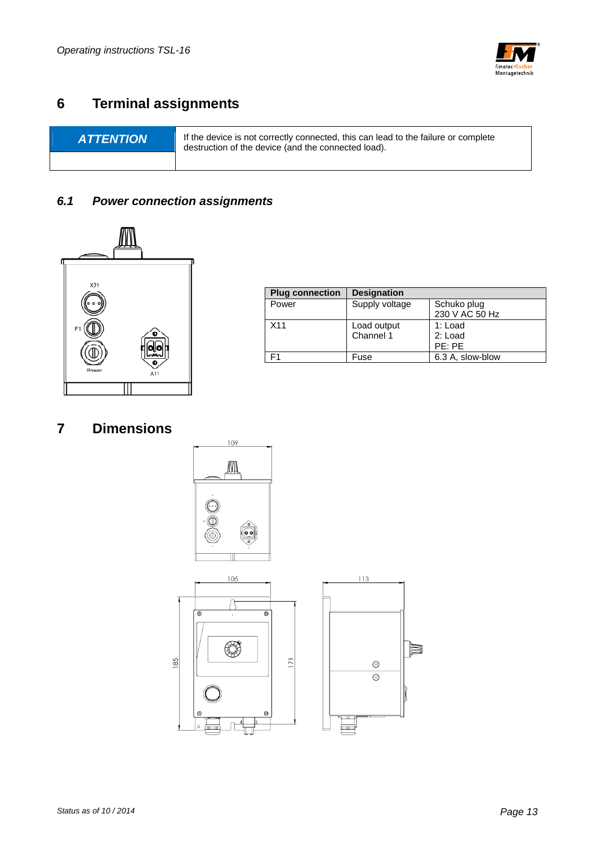

## **6 Terminal assignments**

**ATTENTION** If the device is not correctly connected, this can lead to the failure or complete destruction of the device (and the connected load).

## *6.1 Power connection assignments*



| <b>Plug connection</b> | <b>Designation</b>       |                                |
|------------------------|--------------------------|--------------------------------|
| Power                  | Supply voltage           | Schuko plug<br>230 V AC 50 Hz  |
| X <sub>11</sub>        | Load output<br>Channel 1 | 1: Load<br>2: Load<br>$PE:$ PF |
|                        | Fuse                     | 6.3 A, slow-blow               |

## **7 Dimensions**